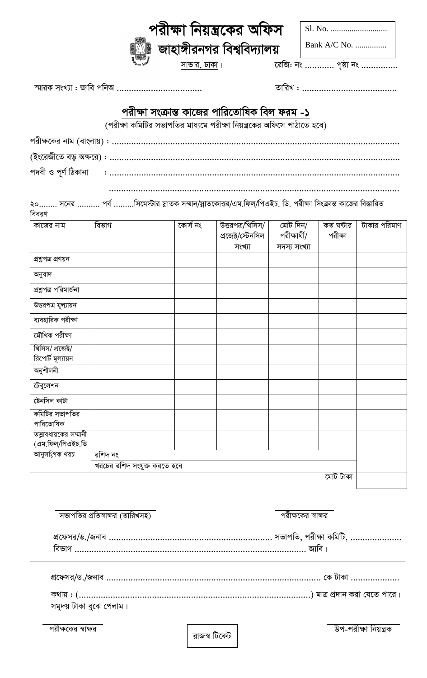| উপ-পরীক্ষা নিয়ন্ত্রক |  |
|-----------------------|--|

| প্রফেসর/ড./জনাব |  | . সভাপতি, পরাক্ষা কামাট, |
|-----------------|--|--------------------------|
|                 |  |                          |

| অনুবাদ                        |  |  |  |  |  |
|-------------------------------|--|--|--|--|--|
| প্ৰশ্নপত্ৰ পরিমার্জনা         |  |  |  |  |  |
| উত্তরপত্র মূল্যায়ন           |  |  |  |  |  |
| ব্যবহারিক পরীক্ষা             |  |  |  |  |  |
| মৌখিক পরীক্ষা                 |  |  |  |  |  |
| থিসিস/ প্রজেক্ট/              |  |  |  |  |  |
| রিপোর্ট মূল্যায়ন             |  |  |  |  |  |
| অনুশীলনী                      |  |  |  |  |  |
| টেবুলেশন                      |  |  |  |  |  |
| ষ্টেনসিল কাটা                 |  |  |  |  |  |
| কমিটির সভাপতির                |  |  |  |  |  |
| পারিতোষিক                     |  |  |  |  |  |
| তত্ত্বাবধায়কের সম্মানী       |  |  |  |  |  |
| (এম.ফিল/পিএইচ.ডি              |  |  |  |  |  |
| আনুসংগিক খরচ<br>রশিদ নং       |  |  |  |  |  |
| ৰ্ঘরচের রশিদ সংযুক্ত করতে হবে |  |  |  |  |  |
| মোট টাকা                      |  |  |  |  |  |

পদবী ও পূর্ণ ঠিকানা 

২০........ সনের .......... পর্ব .........সিমেস্টার স্নাতক সম্মান/স্নাতকোত্তর/এম.ফিল/পিএইচ. ডি. পরীক্ষা সিংক্রান্ত কাজের বিস্তারিত

প্ৰজেক্ট/স্টেনসিল

সংখ্যা

বিবরণ বিভাগ কাজের নাম কোৰ্স নং উত্তরপত্র/থিসিস/ মোট দিন/ কত ঘন্টার টাকার পরিমাণ

# পরীক্ষা সংক্রান্ত কাজের পারিতোষিক বিল ফরম -১

(পরীক্ষা কমিটির সভাপতির মাধ্যমে পরীক্ষা নিয়ন্ত্রকের অফিসে পাঠাতে হবে)

|  |  | 'পরাক্ষা ।নয়গ্রকের আফস       |
|--|--|-------------------------------|
|  |  | ∦ জাহাঙ্গীরনগর বিশ্ববিদ্যালয় |

সাভার, ঢাকা।

স্মারক সংখ্যা: জাবি পনিঅ ...................................

পরীক্ষার্থী/

সদস্য সংখ্যা

রেজি: নং ............ পৃষ্ঠা নং ...............

পরীক্ষা

Bank A/C No. ...............

রাজস্ব টিকেট

পরীক্ষকের স্বাক্ষর

সমুদয় টাকা বুঝে পেলাম।

পরীক্ষকের স্বাক্ষর

প্ৰশ্নপত্ৰ প্ৰণয়ন

সভাপতির প্রতিস্বাক্ষর (তারিখসহ)